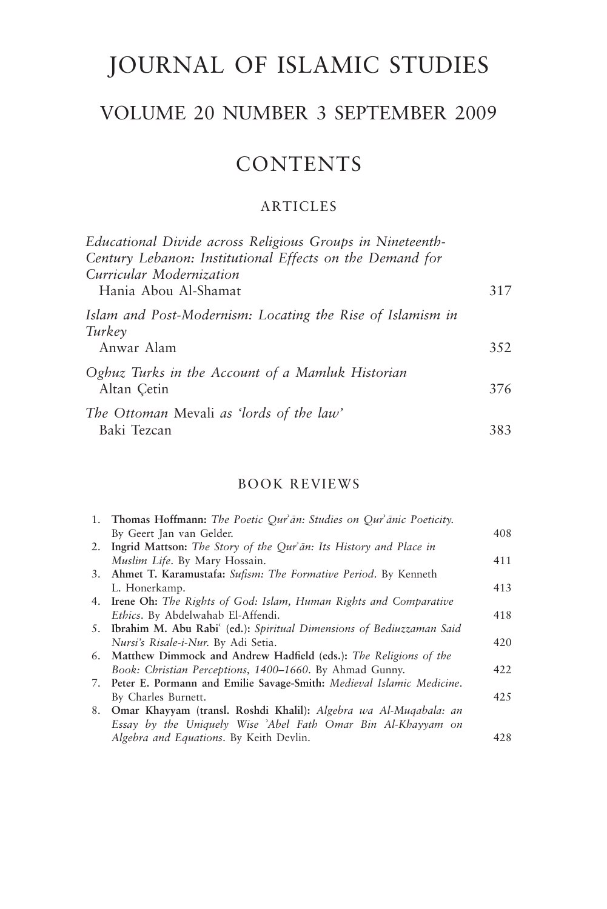# JOURNAL OF ISLAMIC STUDIES

# VOLUME 20 NUMBER 3 SEPTEMBER 2009

## **CONTENTS**

### ARTICLES

| Educational Divide across Religious Groups in Nineteenth-<br>Century Lebanon: Institutional Effects on the Demand for |     |
|-----------------------------------------------------------------------------------------------------------------------|-----|
| Curricular Modernization<br>Hania Abou Al-Shamat                                                                      | 317 |
| Islam and Post-Modernism: Locating the Rise of Islamism in<br>Turkey                                                  |     |
| Anwar Alam                                                                                                            | 352 |
| Oghuz Turks in the Account of a Mamluk Historian<br>Altan Cetin                                                       | 376 |
| The Ottoman Mevali as 'lords of the law'<br>Baki Tezcan                                                               | 383 |

### BOOK REVIEWS

| 1. Thomas Hoffmann: The Poetic Qur'ān: Studies on Qur'ānic Poeticity.   |      |
|-------------------------------------------------------------------------|------|
| By Geert Jan van Gelder.                                                | 408  |
| 2. Ingrid Mattson: The Story of the Qur'an: Its History and Place in    |      |
| Muslim Life. By Mary Hossain.                                           | 411  |
| 3. Ahmet T. Karamustafa: Sufism: The Formative Period. By Kenneth       |      |
| L. Honerkamp.                                                           | 413  |
| 4. Irene Oh: The Rights of God: Islam, Human Rights and Comparative     |      |
| Ethics. By Abdelwahab El-Affendi.                                       | 418  |
| 5. Ibrahim M. Abu Rabi (ed.): Spiritual Dimensions of Bediuzzaman Said  |      |
| Nursi's Risale-i-Nur. By Adi Setia.                                     | 420  |
| 6. Matthew Dimmock and Andrew Hadfield (eds.): The Religions of the     |      |
| Book: Christian Perceptions, 1400–1660. By Ahmad Gunny.                 | 422  |
| 7. Peter E. Pormann and Emilie Savage-Smith: Medieval Islamic Medicine. |      |
| By Charles Burnett.                                                     | 42.5 |
| 8. Omar Khayyam (transl. Roshdi Khalil): Algebra wa Al-Muqabala: an     |      |
| Essay by the Uniquely Wise 'Abel Fath Omar Bin Al-Khayyam on            |      |
| Algebra and Equations. By Keith Devlin.                                 | 428  |
|                                                                         |      |